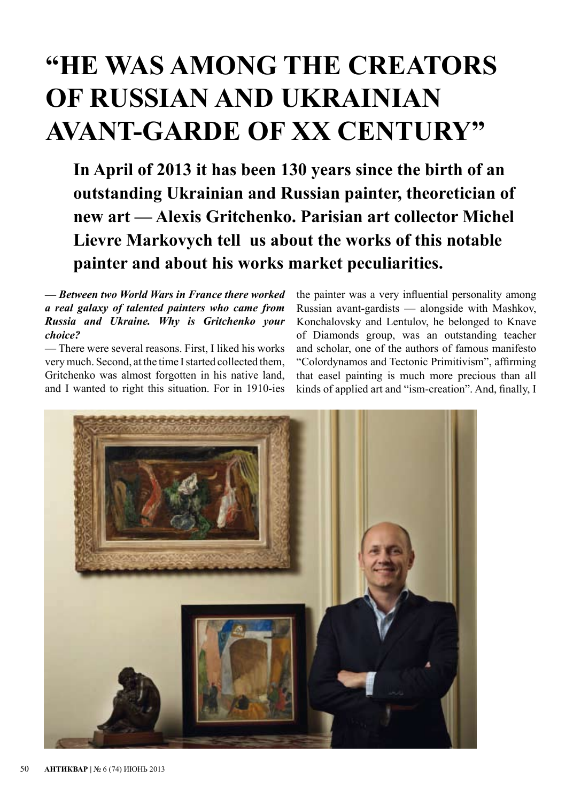# **"HE WAS AMONG THE CREATORS OF RUSSIAN AND UKRAINIAN AVANT-GARDE OF XX CENTURY"**

**In April of 2013 it has been 130 years since the birth of an outstanding Ukrainian and Russian painter, theoretician of new art — Alexis Gritchenko. Parisian art collector Мichel Lievre Markovych tell us about the works of this notable painter and about his works market peculiarities.**

*— Between two World Wars in France there worked a real galaxy of talented painters who came from Russia and Ukraine. Why is Gritchenko your choice?*

— There were several reasons. First, I liked his works very much. Second, at the time I started collected them, Gritchenko was almost forgotten in his native land, and I wanted to right this situation. For in 1910-ies the painter was a very influential personality among Russian avant-gardists — alongside with Mashkov, Konchalovsky and Lentulov, he belonged to Knave of Diamonds group, was an outstanding teacher and scholar, one of the authors of famous manifesto "Colordynamos and Tectonic Primitivism", affirming that easel painting is much more precious than all kinds of applied art and "ism-creation". And, finally, I

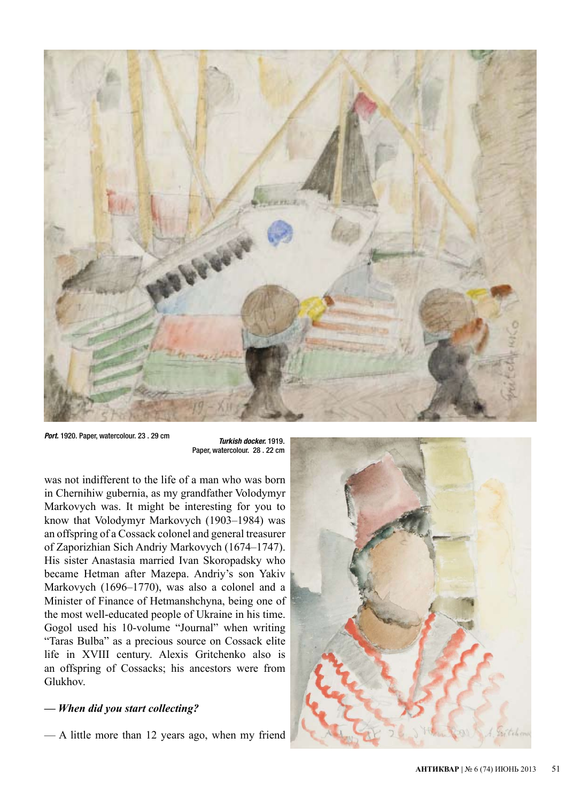

*Port.* 1920. Paper, watercolour. 23 . 29 cm *Turkish docker.* 1919.

Paper, watercolour. 28 . 22 cm

was not indifferent to the life of a man who was born in Chernihiw gubernia, as my grandfather Volodymyr Markovych was. It might be interesting for you to know that Volodymyr Markovych (1903–1984) was an offspring of a Cossack colonel and general treasurer of Zaporizhian Sich Andriy Markovych (1674–1747). His sister Anastasia married Ivan Skoropadsky who became Hetman after Mazepa. Andriy's son Yakiv Markovych (1696–1770), was also a colonel and a Minister of Finance of Hetmanshchyna, being one of the most well-educated people of Ukraine in his time. Gogol used his 10-volume "Journal" when writing "Taras Bulba" as a precious source on Cossack elite life in XVIII century. Alexis Gritchenko also is an offspring of Cossacks; his ancestors were from Glukhov.

#### *— When did you start collecting?*

— A little more than 12 years ago, when my friend

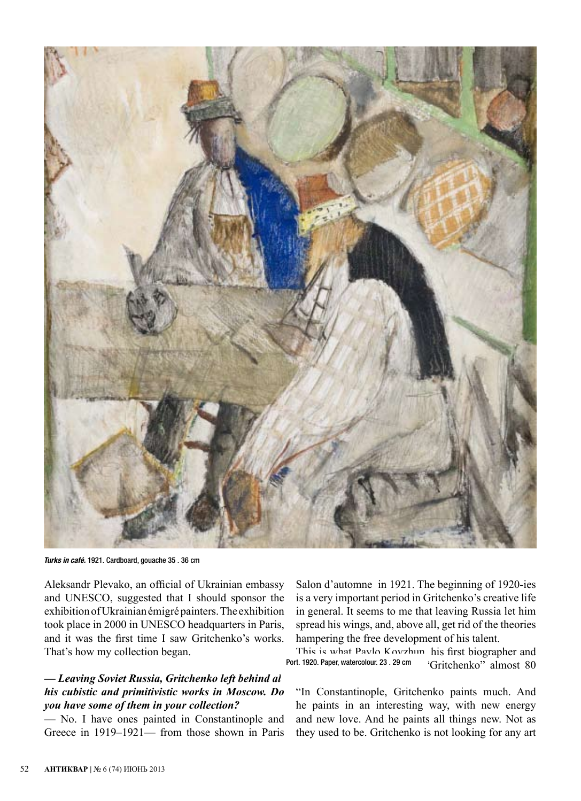

*Turks in café.* 1921. Cardboard, gouache 35 . 36 cm

Aleksandr Plevako, an official of Ukrainian embassy and UNESCO, suggested that I should sponsor the exhibition of Ukrainian émigré painters. The exhibition took place in 2000 in UNESCO headquarters in Paris, and it was the first time I saw Gritchenko's works. That's how my collection began.

#### *— Leaving Soviet Russia, Gritchenko left behind all his cubistic and primitivistic works in Moscow. Do you have some of them in your collection?*

— No. I have ones painted in Constantinople and Greece in 1919–1921— from those shown in Paris

Salon d'automne in 1921. The beginning of 1920-ies is a very important period in Gritchenko's creative life in general. It seems to me that leaving Russia let him spread his wings, and, above all, get rid of the theories hampering the free development of his talent.

This is what Pavlo Kovzhun, his first biographer and 'Gritchenko" almost 80 Port. 1920. Paper, watercolour. 23 . 29 cm

"In Constantinople, Gritchenko paints much. And he paints in an interesting way, with new energy and new love. And he paints all things new. Not as they used to be. Gritchenko is not looking for any art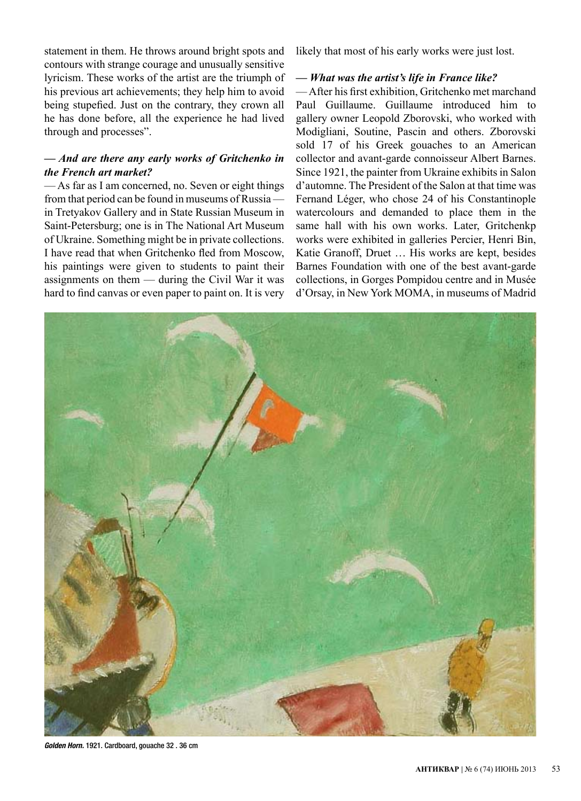statement in them. He throws around bright spots and contours with strange courage and unusually sensitive lyricism. These works of the artist are the triumph of his previous art achievements; they help him to avoid being stupefied. Just on the contrary, they crown all he has done before, all the experience he had lived through and processes".

#### *— And are there any early works of Gritchenko in the French art market?*

— As far as I am concerned, no. Seven or eight things from that period can be found in museums of Russia in Tretyakov Gallery and in State Russian Museum in Saint-Petersburg; one is in The National Art Museum of Ukraine. Something might be in private collections. I have read that when Gritchenko fled from Moscow, his paintings were given to students to paint their assignments on them — during the Civil War it was hard to find canvas or even paper to paint on. It is very

likely that most of his early works were just lost.

#### *— What was the artist's life in France like?*

— After his first exhibition, Gritchenko met marchand Paul Guillaume. Guillaume introduced him to gallery owner Leopold Zborovski, who worked with Modigliani, Soutine, Pascin and others. Zborovski sold 17 of his Greek gouaches to an American collector and avant-garde connoisseur Albert Barnes. Since 1921, the painter from Ukraine exhibits in Salon d'automne. The President of the Salon at that time was Fernand Léger, who chose 24 of his Constantinople watercolours and demanded to place them in the same hall with his own works. Later, Gritchenkp works were exhibited in galleries Percier, Henri Bin, Katie Granoff, Druet … His works are kept, besides Barnes Foundation with one of the best avant-garde collections, in Gorges Pompidou centre and in Musée d'Orsay, in New York MOMA, in museums of Madrid



*Golden Horn.* 1921. Cardboard, gouache 32 . 36 cm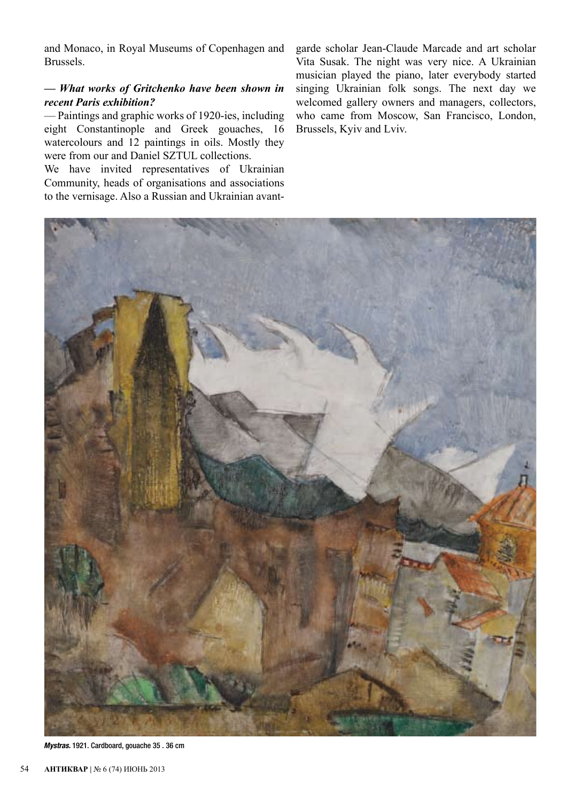and Monaco, in Royal Museums of Copenhagen and Brussels.

# *— What works of Gritchenko have been shown in recent Paris exhibition?*

— Paintings and graphic works of 1920-ies, including eight Constantinople and Greek gouaches, 16 watercolours and 12 paintings in oils. Mostly they were from our and Daniel SZTUL collections.

We have invited representatives of Ukrainian Community, heads of organisations and associations to the vernisage. Also a Russian and Ukrainian avantgarde scholar Jean-Claude Мarcade and art scholar Vita Susak. The night was very nice. A Ukrainian musician played the piano, later everybody started singing Ukrainian folk songs. The next day we welcomed gallery owners and managers, collectors, who came from Moscow, San Francisco, London, Brussels, Kyiv and Lviv.



*Mystras.* 1921. Cardboard, gouache 35 . 36 cm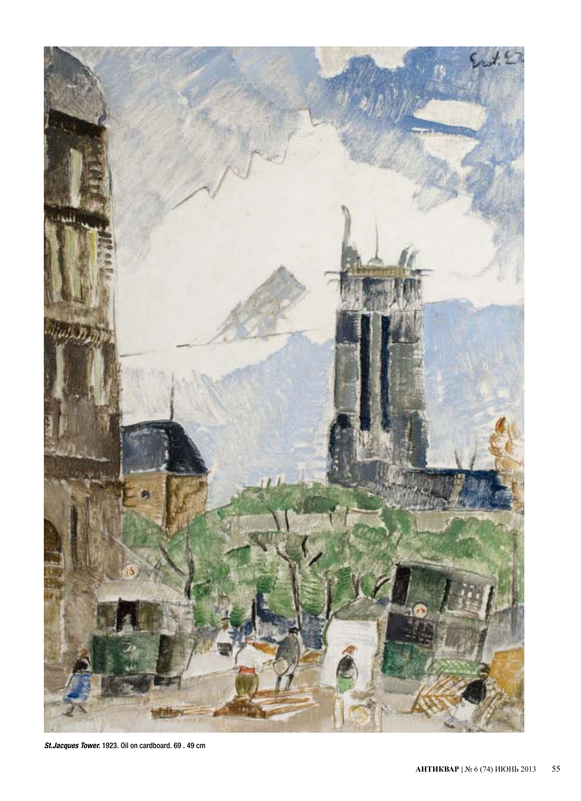

*St.Jacques Tower.* 1923. Oil on cardboard. 69 . 49 cm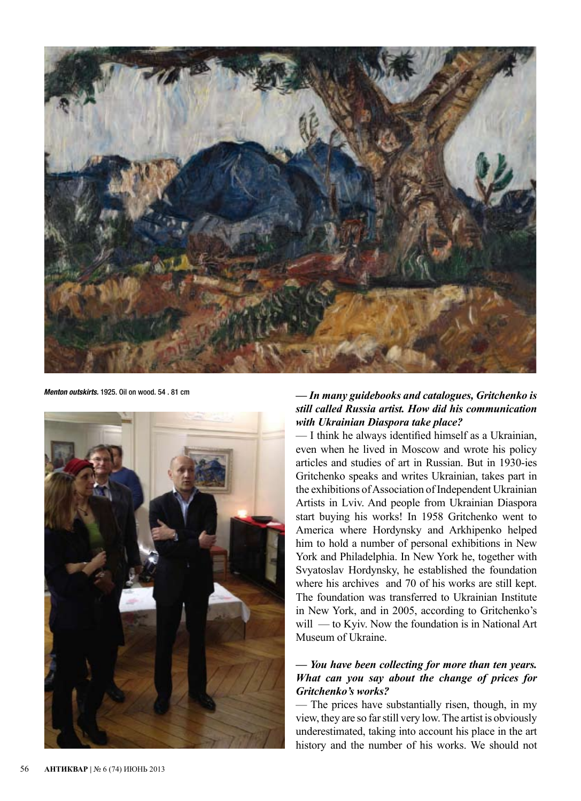

*Menton outskirts.* 1925. Oil on wood. 54 . 81 cm



# *— In many guidebooks and catalogues, Gritchenko is still called Russia artist. How did his communication with Ukrainian Diaspora take place?*

— I think he always identified himself as a Ukrainian, even when he lived in Moscow and wrote his policy articles and studies of art in Russian. But in 1930-ies Gritchenko speaks and writes Ukrainian, takes part in the exhibitions of Association of Independent Ukrainian Artists in Lviv. And people from Ukrainian Diaspora start buying his works! In 1958 Gritchenko went to America where Hordynsky and Arkhipenko helped him to hold a number of personal exhibitions in New York and Philadelphia. In New York he, together with Svyatoslav Hordynsky, he established the foundation where his archives and 70 of his works are still kept. The foundation was transferred to Ukrainian Institute in New York, and in 2005, according to Gritchenko's will — to Kyiv. Now the foundation is in National Art Museum of Ukraine.

## *— You have been collecting for more than ten years. What can you say about the change of prices for Gritchenko's works?*

— The prices have substantially risen, though, in my view, they are so far still very low. The artist is obviously underestimated, taking into account his place in the art history and the number of his works. We should not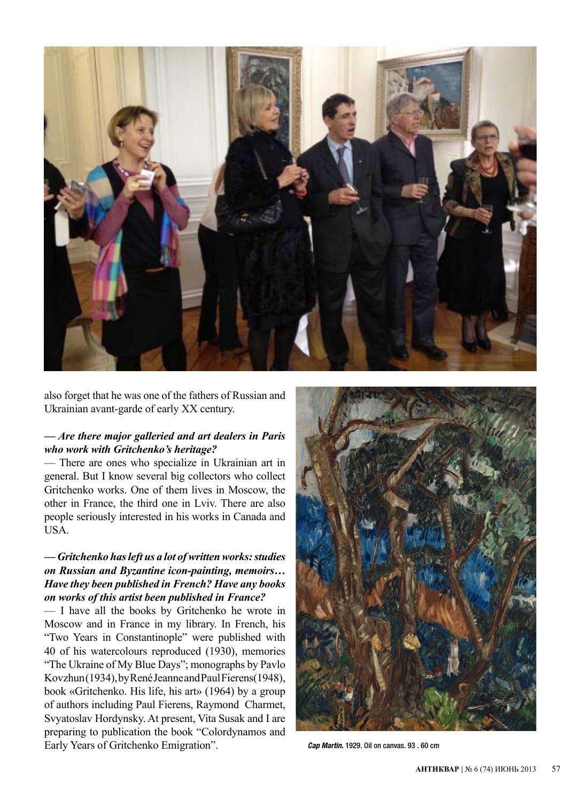

also forget that he was one of the famels of reassign and Ukrainian avant-garde of early XX century. also forget that he was one of the fathers of Russian and

# — Are there major galleried and art dealers in Paris who work with Gritchenko's heritage?

— There are ones who specialize in Ukrainian art in general. But I know several big collectors who collect Gritchenko works. One of them lives in Moscow, the other in France, the third one in Lviv. There are also people seriously interested in his works in Canada and USA. USA.

# — Gritchenko has left us a lot of written works: studies *on Russian and Byzantine icon-painting, memoirs…* Have they been published in French? Have any books on works of this artist been published in France?

 $-$  I have all the books by Gritchenko he wrote in Moscow and in France in my library. In French, his "Two Years in Constantinople" were published with 40 of his watercolours reproduced (1930), memories "The Ukraine of My Blue Days"; monographs by Pavlo Kovzhun (1934), by René Jeanne and Paul Fierens(1948), book «Gritchenko. His life, his art» (1964) by a group of authors including Paul Fierens, Raymond Charmet, Svyatoslav Hordynsky. At present, Vita Susak and I are preparing to publication the book "Colordynamos and Early Years of Gritchenko Emigration". *Cap Martin.* 1929. Oil on canvas. 93 . 60 cm

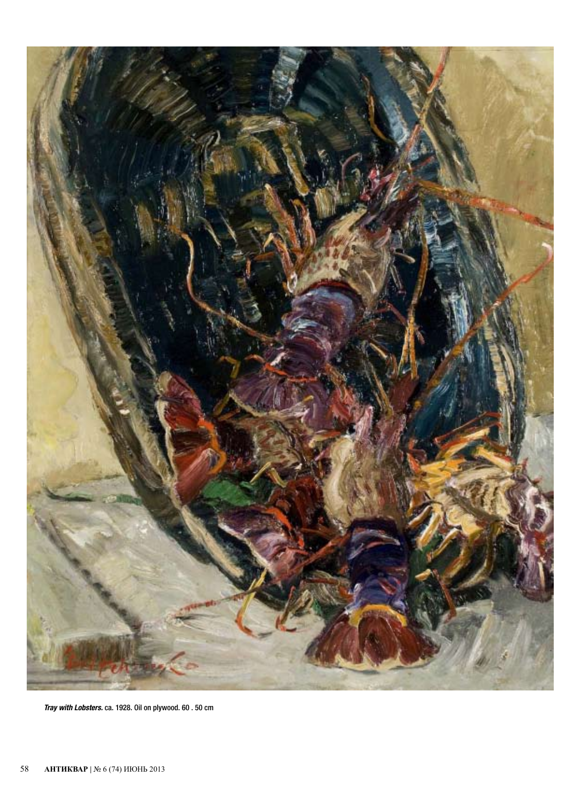

*Tray with Lobsters.* ca. 1928. Oil on plywood. 60 . 50 cm